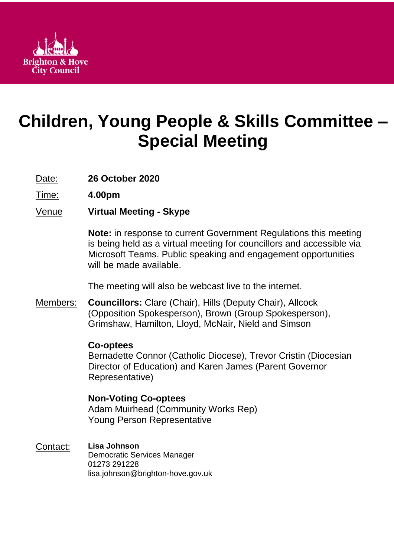

# **Children, Young People & Skills Committee – Special Meeting**

Date: **26 October 2020**

Time: **4.00pm**

Venue **Virtual Meeting - Skype**

**Note:** in response to current Government Regulations this meeting is being held as a virtual meeting for councillors and accessible via Microsoft Teams. Public speaking and engagement opportunities will be made available.

The meeting will also be webcast live to the internet.

Members: **Councillors:** Clare (Chair), Hills (Deputy Chair), Allcock (Opposition Spokesperson), Brown (Group Spokesperson), Grimshaw, Hamilton, Lloyd, McNair, Nield and Simson

# **Co-optees**

Bernadette Connor (Catholic Diocese), Trevor Cristin (Diocesian Director of Education) and Karen James (Parent Governor Representative)

# **Non-Voting Co-optees**

Adam Muirhead (Community Works Rep) Young Person Representative

Contact: **Lisa Johnson** Democratic Services Manager 01273 291228 lisa.johnson@brighton-hove.gov.uk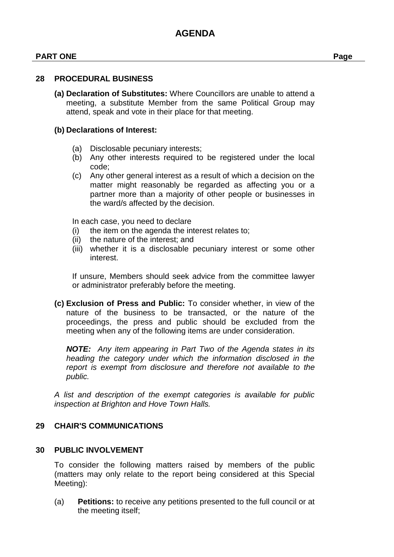#### **PART ONE Page**

#### **28 PROCEDURAL BUSINESS**

**(a) Declaration of Substitutes:** Where Councillors are unable to attend a meeting, a substitute Member from the same Political Group may attend, speak and vote in their place for that meeting.

#### **(b) Declarations of Interest:**

- (a) Disclosable pecuniary interests;
- (b) Any other interests required to be registered under the local code;
- (c) Any other general interest as a result of which a decision on the matter might reasonably be regarded as affecting you or a partner more than a majority of other people or businesses in the ward/s affected by the decision.

In each case, you need to declare

- (i) the item on the agenda the interest relates to;
- (ii) the nature of the interest; and
- (iii) whether it is a disclosable pecuniary interest or some other interest.

If unsure, Members should seek advice from the committee lawyer or administrator preferably before the meeting.

**(c) Exclusion of Press and Public:** To consider whether, in view of the nature of the business to be transacted, or the nature of the proceedings, the press and public should be excluded from the meeting when any of the following items are under consideration.

*NOTE: Any item appearing in Part Two of the Agenda states in its heading the category under which the information disclosed in the report is exempt from disclosure and therefore not available to the public.*

*A list and description of the exempt categories is available for public inspection at Brighton and Hove Town Halls.*

#### **29 CHAIR'S COMMUNICATIONS**

#### **30 PUBLIC INVOLVEMENT**

To consider the following matters raised by members of the public (matters may only relate to the report being considered at this Special Meeting):

(a) **Petitions:** to receive any petitions presented to the full council or at the meeting itself;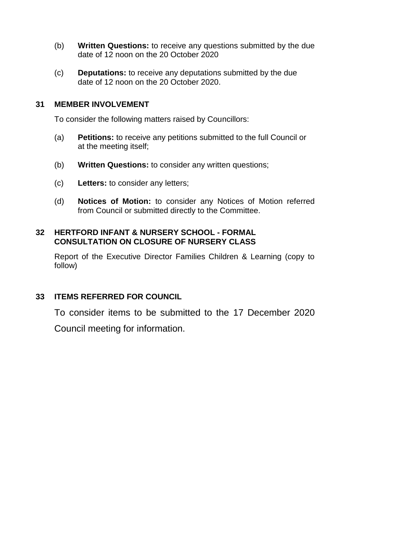- (b) **Written Questions:** to receive any questions submitted by the due date of 12 noon on the 20 October 2020
- (c) **Deputations:** to receive any deputations submitted by the due date of 12 noon on the 20 October 2020.

## **31 MEMBER INVOLVEMENT**

To consider the following matters raised by Councillors:

- (a) **Petitions:** to receive any petitions submitted to the full Council or at the meeting itself;
- (b) **Written Questions:** to consider any written questions;
- (c) **Letters:** to consider any letters;
- (d) **Notices of Motion:** to consider any Notices of Motion referred from Council or submitted directly to the Committee.

#### **32 HERTFORD INFANT & NURSERY SCHOOL - FORMAL CONSULTATION ON CLOSURE OF NURSERY CLASS**

Report of the Executive Director Families Children & Learning (copy to follow)

## **33 ITEMS REFERRED FOR COUNCIL**

To consider items to be submitted to the 17 December 2020 Council meeting for information.